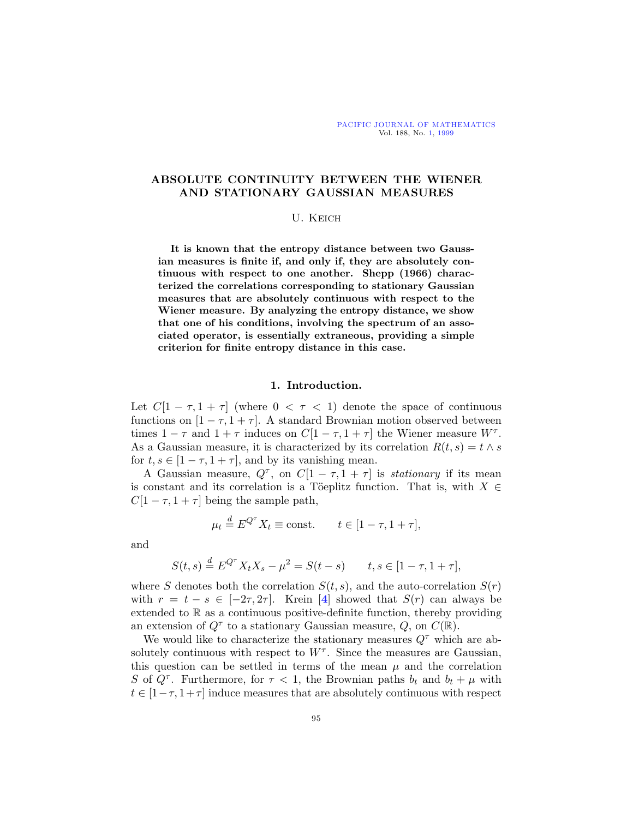# **ABSOLUTE CONTINUITY BETWEEN THE WIENER AND STATIONARY GAUSSIAN MEASURES**

#### U. Keich

**It is known that the entropy distance between two Gaussian measures is finite if, and only if, they are absolutely continuous with respect to one another. Shepp (1966) characterized the correlations corresponding to stationary Gaussian measures that are absolutely continuous with respect to the Wiener measure. By analyzing the entropy distance, we show that one of his conditions, involving the spectrum of an associated operator, is essentially extraneous, providing a simple criterion for finite entropy distance in this case.**

## **1. Introduction.**

Let  $C[1 - \tau, 1 + \tau]$  (where  $0 < \tau < 1$ ) denote the space of continuous functions on  $[1 - \tau, 1 + \tau]$ . A standard Brownian motion observed between times  $1 - \tau$  and  $1 + \tau$  induces on  $C[1 - \tau, 1 + \tau]$  the Wiener measure  $W^{\tau}$ . As a Gaussian measure, it is characterized by its correlation  $R(t, s) = t \wedge s$ for  $t, s \in [1 - \tau, 1 + \tau]$ , and by its vanishing mean.

A Gaussian measure,  $Q^{\tau}$ , on  $C[1 - \tau, 1 + \tau]$  is *stationary* if its mean is constant and its correlation is a Töeplitz function. That is, with  $X \in$  $C[1 - \tau, 1 + \tau]$  being the sample path,

$$
\mu_t \stackrel{d}{=} E^{Q^{\tau}} X_t \equiv \text{const.} \qquad t \in [1 - \tau, 1 + \tau],
$$

and

$$
S(t,s) \stackrel{d}{=} E^{Q^{\tau}} X_t X_s - \mu^2 = S(t-s) \qquad t, s \in [1 - \tau, 1 + \tau],
$$

where S denotes both the correlation  $S(t, s)$ , and the auto-correlation  $S(r)$ with  $r = t - s \in [-2\tau, 2\tau]$ . Krein [[4](#page-13-0)] showed that  $S(r)$  can always be extended to  $\mathbb R$  as a continuous positive-definite function, thereby providing an extension of  $Q^{\tau}$  to a stationary Gaussian measure, Q, on  $C(\mathbb{R})$ .

We would like to characterize the stationary measures  $Q^{\tau}$  which are absolutely continuous with respect to  $W^{\tau}$ . Since the measures are Gaussian, this question can be settled in terms of the mean  $\mu$  and the correlation S of  $Q^{\tau}$ . Furthermore, for  $\tau < 1$ , the Brownian paths  $b_t$  and  $b_t + \mu$  with  $t \in [1-\tau, 1+\tau]$  induce measures that are absolutely continuous with respect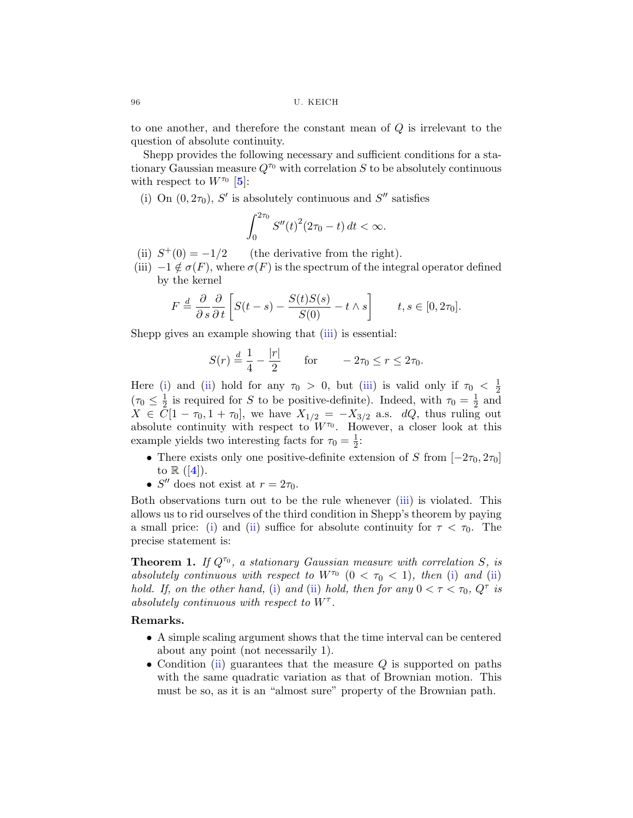to one another, and therefore the constant mean of Q is irrelevant to the question of absolute continuity.

Shepp provides the following necessary and sufficient conditions for a stationary Gaussian measure  $Q^{\tau_0}$  with correlation S to be absolutely continuous with respect to  $W^{\tau_0}$  [[5](#page-13-0)]:

(i) On  $(0, 2\tau_0)$ , S' is absolutely continuous and S'' satisfies

$$
\int_0^{2\tau_0} S''(t)^2 (2\tau_0 - t) dt < \infty.
$$

- (ii)  $S^+(0) = -1/2$  (the derivative from the right).
- (iii)  $-1 \notin \sigma(F)$ , where  $\sigma(F)$  is the spectrum of the integral operator defined by the kernel

$$
F \stackrel{d}{=} \frac{\partial}{\partial s} \frac{\partial}{\partial t} \left[ S(t-s) - \frac{S(t)S(s)}{S(0)} - t \wedge s \right] \qquad t, s \in [0, 2\tau_0].
$$

Shepp gives an example showing that (iii) is essential:

$$
S(r) \stackrel{d}{=} \frac{1}{4} - \frac{|r|}{2}
$$
 for  $-2\tau_0 \le r \le 2\tau_0$ .

Here (i) and (ii) hold for any  $\tau_0 > 0$ , but (iii) is valid only if  $\tau_0 < \frac{1}{2}$  $(\tau_0 \leq \frac{1}{2})$  is required for S to be positive-definite). Indeed, with  $\tau_0 = \frac{1}{2}$  and  $X \in \overline{C}[1 - \tau_0, 1 + \tau_0],$  we have  $X_{1/2} = -X_{3/2}$  a.s. dQ, thus ruling out absolute continuity with respect to  $W^{\tau_0}$ . However, a closer look at this example yields two interesting facts for  $\tau_0 = \frac{1}{2}$ :

- There exists only one positive-definite extension of S from  $[-2\tau_0, 2\tau_0]$ to  $\mathbb{R}$  ([[4](#page-13-0)]).
- $S''$  does not exist at  $r = 2\tau_0$ .

Both observations turn out to be the rule whenever (iii) is violated. This allows us to rid ourselves of the third condition in Shepp's theorem by paying a small price: (i) and (ii) suffice for absolute continuity for  $\tau < \tau_0$ . The precise statement is:

**Theorem 1.** If  $Q^{\tau_0}$ , a stationary Gaussian measure with correlation S, is absolutely continuous with respect to  $W^{\tau_0}$   $(0 < \tau_0 < 1)$ , then (i) and (ii) hold. If, on the other hand, (i) and (ii) hold, then for any  $0 < \tau < \tau_0$ ,  $Q^{\tau}$  is absolutely continuous with respect to  $W^{\tau}$ .

### **Remarks.**

- A simple scaling argument shows that the time interval can be centered about any point (not necessarily 1).
- Condition (ii) guarantees that the measure  $Q$  is supported on paths with the same quadratic variation as that of Brownian motion. This must be so, as it is an "almost sure" property of the Brownian path.

<span id="page-1-0"></span>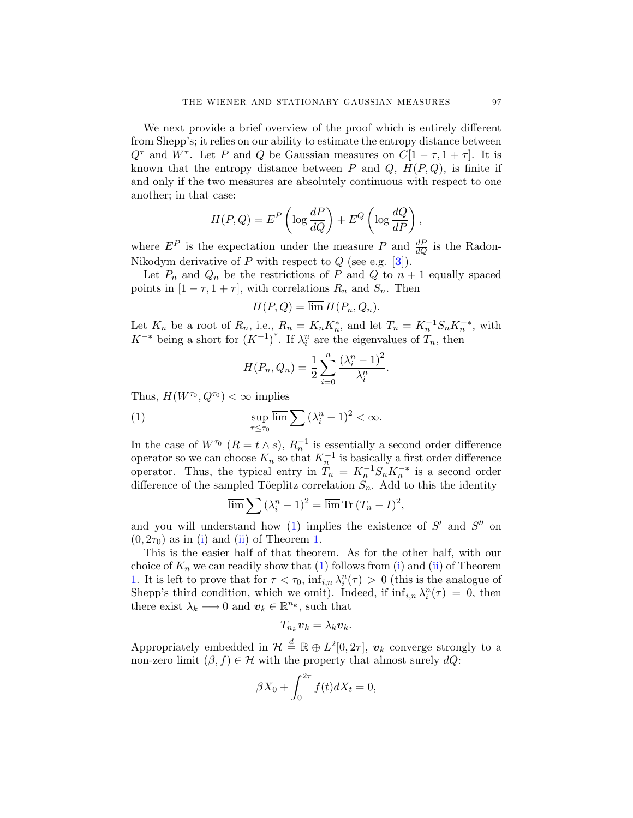We next provide a brief overview of the proof which is entirely different from Shepp's; it relies on our ability to estimate the entropy distance between  $Q^{\tau}$  and  $W^{\tau}$ . Let P and Q be Gaussian measures on  $C[1 - \tau, 1 + \tau]$ . It is known that the entropy distance between  $P$  and  $Q$ ,  $H(P,Q)$ , is finite if and only if the two measures are absolutely continuous with respect to one another; in that case:

$$
H(P,Q) = EP \left( \log \frac{dP}{dQ} \right) + EQ \left( \log \frac{dQ}{dP} \right),
$$

where  $E^P$  is the expectation under the measure P and  $\frac{dP}{dQ}$  is the Radon-Nikodym derivative of P with respect to Q (see e.g. [**[3](#page-13-0)**]).

Let  $P_n$  and  $Q_n$  be the restrictions of P and Q to  $n+1$  equally spaced points in  $[1 - \tau, 1 + \tau]$ , with correlations  $R_n$  and  $S_n$ . Then

$$
H(P,Q) = \lim H(P_n, Q_n).
$$

Let  $K_n$  be a root of  $R_n$ , i.e.,  $R_n = K_n K_n^*$ , and let  $T_n = K_n^{-1} S_n K_n^{-*}$ , with  $K^{-*}$  being a short for  $(K^{-1})^*$ . If  $\lambda_i^n$  are the eigenvalues of  $T_n$ , then

$$
H(P_n, Q_n) = \frac{1}{2} \sum_{i=0}^{n} \frac{(\lambda_i^n - 1)^2}{\lambda_i^n}.
$$

Thus,  $H(W^{\tau_0}, Q^{\tau_0}) < \infty$  implies

(1) 
$$
\sup_{\tau \leq \tau_0} \overline{\lim} \sum (\lambda_i^n - 1)^2 < \infty.
$$

In the case of  $W^{\tau_0}$   $(R = t \wedge s)$ ,  $R_n^{-1}$  is essentially a second order difference operator so we can choose  $K_n$  so that  $K_n^{-1}$  is basically a first order difference operator. Thus, the typical entry in  $T_n = K_n^{-1} S_n K_n^{-*}$  is a second order difference of the sampled Töeplitz correlation  $S_n$ . Add to this the identity

$$
\overline{\lim} \sum (\lambda_i^n - 1)^2 = \overline{\lim} \operatorname{Tr} (T_n - I)^2,
$$

and you will understand how  $(1)$  implies the existence of  $S'$  and  $S''$  on  $(0, 2\tau_0)$  as in [\(i](#page-1-0)) and ([ii\)](#page-1-0) of Theorem [1.](#page-1-0)

This is the easier half of that theorem. As for the other half, with our choice of  $K_n$  we can readily show that (1) follows from [\(i](#page-1-0)) and ([ii\)](#page-1-0) of Theorem [1](#page-1-0). It is left to prove that for  $\tau < \tau_0$ ,  $\inf_{i,n} \lambda_i^n(\tau) > 0$  (this is the analogue of Shepp's third condition, which we omit). Indeed, if  $\inf_{i,n} \lambda_i^n(\tau) = 0$ , then there exist  $\lambda_k \longrightarrow 0$  and  $\boldsymbol{v}_k \in \mathbb{R}^{n_k}$ , such that

$$
T_{n_k}\boldsymbol{v}_k=\lambda_k\boldsymbol{v}_k.
$$

Appropriately embedded in  $\mathcal{H} \triangleq \mathbb{R} \oplus L^2[0, 2\tau], v_k$  converge strongly to a non-zero limit  $(\beta, f) \in \mathcal{H}$  with the property that almost surely  $dQ$ :

$$
\beta X_0 + \int_0^{2\tau} f(t) dX_t = 0,
$$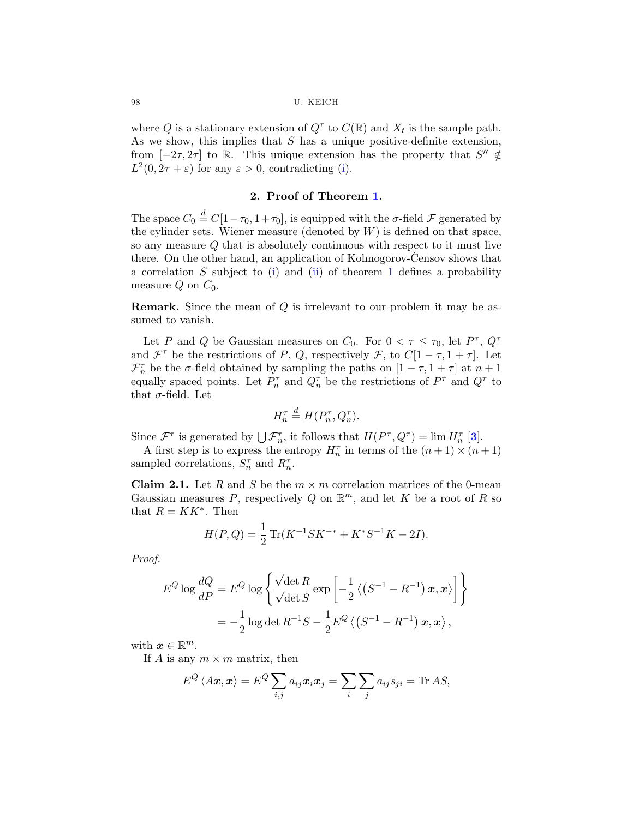#### <span id="page-3-0"></span>98 U. KEICH

where Q is a stationary extension of  $Q^{\tau}$  to  $C(\mathbb{R})$  and  $X_t$  is the sample path. As we show, this implies that  $S$  has a unique positive-definite extension, from  $[-2\tau, 2\tau]$  to R. This unique extension has the property that  $S'' \notin$  $L^2(0, 2\tau + \varepsilon)$  for any  $\varepsilon > 0$ , contradicting ([i\)](#page-1-0).

## **2. Proof of Theorem [1.](#page-1-0)**

The space  $C_0 \stackrel{d}{=} C[1-\tau_0, 1+\tau_0]$ , is equipped with the  $\sigma$ -field  $\mathcal F$  generated by the cylinder sets. Wiener measure (denoted by  $W$ ) is defined on that space, so any measure Q that is absolutely continuous with respect to it must live there. On the other hand, an application of Kolmogorov-Censov shows that a correlation  $S$  subject to [\(i](#page-1-0)) and [\(ii\)](#page-1-0) of theorem [1](#page-1-0) defines a probability measure  $Q$  on  $C_0$ .

**Remark.** Since the mean of Q is irrelevant to our problem it may be assumed to vanish.

Let P and Q be Gaussian measures on  $C_0$ . For  $0 < \tau \leq \tau_0$ , let  $P^{\tau}$ ,  $Q^{\tau}$ and  $\mathcal{F}^{\tau}$  be the restrictions of P, Q, respectively  $\mathcal{F}$ , to  $C[1-\tau,1+\tau]$ . Let  $\mathcal{F}^{\tau}_{n}$  be the  $\sigma$ -field obtained by sampling the paths on  $[1-\tau,1+\tau]$  at  $n+1$ equally spaced points. Let  $P_n^{\tau}$  and  $Q_n^{\tau}$  be the restrictions of  $P^{\tau}$  and  $Q^{\tau}$  to that  $\sigma$ -field. Let

$$
H_n^{\tau} \stackrel{d}{=} H(P_n^{\tau}, Q_n^{\tau}).
$$

Since  $\mathcal{F}^{\tau}$  is generated by  $\bigcup \mathcal{F}_{n}^{\tau}$ , it follows that  $H(P^{\tau}, Q^{\tau}) = \overline{\lim} H_{n}^{\tau}$  [[3](#page-13-0)].

A first step is to express the entropy  $H_n^{\tau}$  in terms of the  $(n+1) \times (n+1)$ sampled correlations,  $S_n^{\tau}$  and  $R_n^{\tau}$ .

**Claim 2.1.** Let R and S be the  $m \times m$  correlation matrices of the 0-mean Gaussian measures P, respectively Q on  $\mathbb{R}^m$ , and let K be a root of R so that  $R = KK^*$ . Then

$$
H(P,Q) = \frac{1}{2} \operatorname{Tr}(K^{-1} S K^{-*} + K^* S^{-1} K - 2I).
$$

Proof.

$$
E^{Q} \log \frac{dQ}{dP} = E^{Q} \log \left\{ \frac{\sqrt{\det R}}{\sqrt{\det S}} \exp \left[ -\frac{1}{2} \left\langle \left( S^{-1} - R^{-1} \right) \boldsymbol{x}, \boldsymbol{x} \right\rangle \right] \right\}
$$
  
=  $-\frac{1}{2} \log \det R^{-1} S - \frac{1}{2} E^{Q} \left\langle \left( S^{-1} - R^{-1} \right) \boldsymbol{x}, \boldsymbol{x} \right\rangle,$ 

with  $x \in \mathbb{R}^m$ .

If A is any  $m \times m$  matrix, then

$$
E^{Q} \langle A \boldsymbol{x}, \boldsymbol{x} \rangle = E^{Q} \sum_{i,j} a_{ij} \boldsymbol{x}_{i} \boldsymbol{x}_{j} = \sum_{i} \sum_{j} a_{ij} s_{ji} = \text{Tr} \, AS,
$$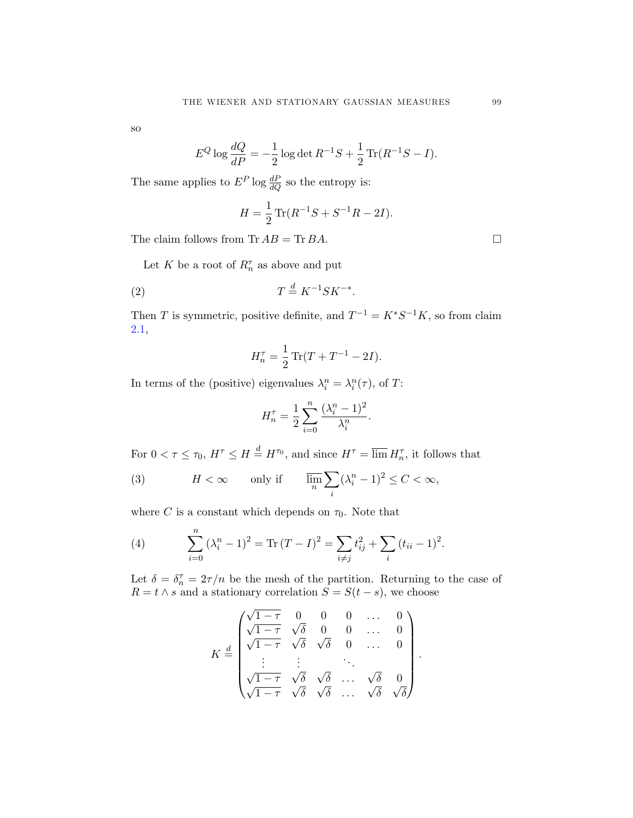<span id="page-4-0"></span>so

$$
E^{Q} \log \frac{dQ}{dP} = -\frac{1}{2} \log \det R^{-1}S + \frac{1}{2} \operatorname{Tr} (R^{-1}S - I).
$$

The same applies to  $E^P$  log  $\frac{dP}{dQ}$  so the entropy is:

$$
H = \frac{1}{2} \operatorname{Tr} (R^{-1}S + S^{-1}R - 2I).
$$

The claim follows from Tr  $AB = \text{Tr } BA$ .

Let K be a root of  $R_n^{\tau}$  as above and put

$$
(2) \t\t T \stackrel{d}{=} K^{-1} S K^{-*}.
$$

Then T is symmetric, positive definite, and  $T^{-1} = K^*S^{-1}K$ , so from claim [2.1,](#page-3-0)

$$
H_n^{\tau} = \frac{1}{2} \operatorname{Tr} (T + T^{-1} - 2I).
$$

In terms of the (positive) eigenvalues  $\lambda_i^n = \lambda_i^n(\tau)$ , of T:

$$
H_n^{\tau} = \frac{1}{2} \sum_{i=0}^n \frac{(\lambda_i^n - 1)^2}{\lambda_i^n}.
$$

For  $0 < \tau \leq \tau_0$ ,  $H^{\tau} \leq H \stackrel{d}{=} H^{\tau_0}$ , and since  $H^{\tau} = \overline{\lim} H_n^{\tau}$ , it follows that

(3) 
$$
H < \infty \qquad \text{only if} \qquad \overline{\lim_{n}} \sum_{i} (\lambda_i^n - 1)^2 \le C < \infty,
$$

where C is a constant which depends on  $\tau_0$ . Note that

(4) 
$$
\sum_{i=0}^{n} (\lambda_i^n - 1)^2 = \text{Tr} (T - I)^2 = \sum_{i \neq j} t_{ij}^2 + \sum_{i} (t_{ii} - 1)^2.
$$

Let  $\delta = \delta_n^{\tau} = 2\tau/n$  be the mesh of the partition. Returning to the case of  $R = t \wedge s$  and a stationary correlation  $S = S(t - s)$ , we choose

$$
K \stackrel{d}{=} \begin{pmatrix} \sqrt{1-\tau} & 0 & 0 & 0 & \dots & 0 \\ \sqrt{1-\tau} & \sqrt{\delta} & 0 & 0 & \dots & 0 \\ \sqrt{1-\tau} & \sqrt{\delta} & \sqrt{\delta} & 0 & \dots & 0 \\ \vdots & \vdots & \vdots & \ddots & \vdots \\ \sqrt{1-\tau} & \sqrt{\delta} & \sqrt{\delta} & \dots & \sqrt{\delta} & 0 \\ \sqrt{1-\tau} & \sqrt{\delta} & \sqrt{\delta} & \dots & \sqrt{\delta} & \sqrt{\delta} \end{pmatrix}.
$$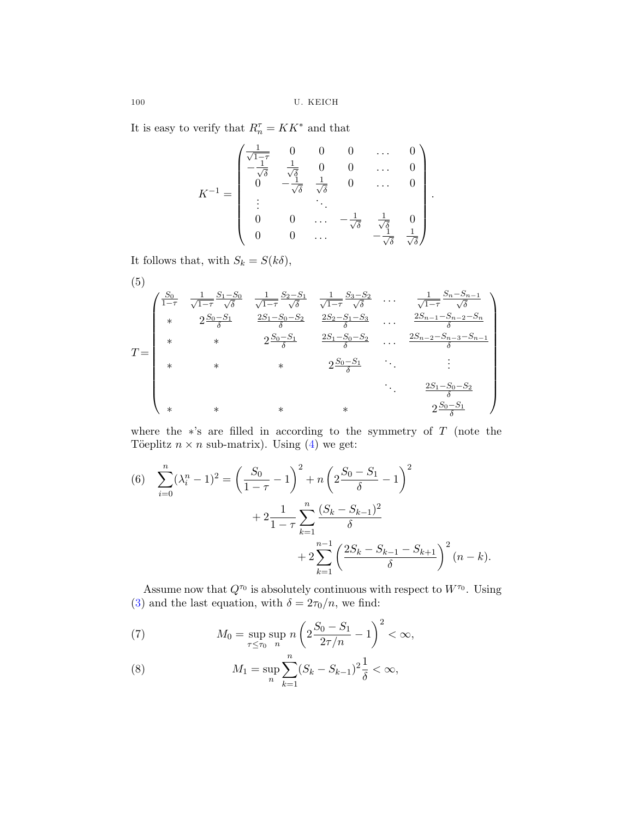It is easy to verify that  $R_n^{\tau} = K K^*$  and that

$$
K^{-1} = \begin{pmatrix} \frac{1}{\sqrt{1-\tau}} & 0 & 0 & 0 & \dots & 0 \\ -\frac{1}{\sqrt{\delta}} & \frac{1}{\sqrt{\delta}} & 0 & 0 & \dots & 0 \\ 0 & -\frac{1}{\sqrt{\delta}} & \frac{1}{\sqrt{\delta}} & 0 & \dots & 0 \\ \vdots & \vdots & \ddots & \vdots & \vdots & \vdots \\ 0 & 0 & \dots & -\frac{1}{\sqrt{\delta}} & \frac{1}{\sqrt{\delta}} & 0 \\ 0 & 0 & \dots & -\frac{1}{\sqrt{\delta}} & \frac{1}{\sqrt{\delta}} & \frac{1}{\sqrt{\delta}} \end{pmatrix}.
$$

It follows that, with  $S_k = S(k\delta),$ 

(5)  
\n
$$
T = \begin{pmatrix}\n\frac{S_0}{1-\tau} & \frac{1}{\sqrt{1-\tau}} \frac{S_1-S_0}{\sqrt{\delta}} & \frac{1}{\sqrt{1-\tau}} \frac{S_2-S_1}{\sqrt{\delta}} & \frac{1}{\sqrt{1-\tau}} \frac{S_3-S_2}{\sqrt{\delta}} & \cdots & \frac{1}{\sqrt{1-\tau}} \frac{S_n-S_{n-1}}{\sqrt{\delta}} \\
* & 2\frac{S_0-S_1}{\delta} & \frac{2S_1-S_0-S_2}{\delta} & \frac{2S_2-S_1-S_3}{\delta} & \cdots & \frac{2S_{n-1}-S_{n-2}-S_n}{\delta} \\
* & * & 2\frac{S_0-S_1}{\delta} & \frac{2S_1-S_0-S_2}{\delta} & \cdots & \frac{2S_{n-2}-S_{n-3}-S_{n-1}}{\delta} \\
* & * & * & 2\frac{S_0-S_1}{\delta} & \cdots & \vdots \\
* & * & * & * & 2\frac{S_1-S_0-S_2}{\delta} \\
* & * & * & * & * & 2\frac{S_0-S_1}{\delta}\n\end{pmatrix}
$$

where the ∗'s are filled in according to the symmetry of T (note the Töeplitz  $n \times n$  sub-matrix). Using ([4](#page-4-0)) we get:

(6) 
$$
\sum_{i=0}^{n} (\lambda_i^n - 1)^2 = \left(\frac{S_0}{1 - \tau} - 1\right)^2 + n \left(2\frac{S_0 - S_1}{\delta} - 1\right)^2 + 2\frac{1}{1 - \tau} \sum_{k=1}^{n} \frac{(S_k - S_{k-1})^2}{\delta} + 2\sum_{k=1}^{n-1} \left(\frac{2S_k - S_{k-1} - S_{k+1}}{\delta}\right)^2 (n - k).
$$

Assume now that  $Q^{\tau_0}$  is absolutely continuous with respect to  $W^{\tau_0}.$  Using ([3](#page-4-0)) and the last equation, with  $\delta=2\tau_0/n,$  we find:

(7) 
$$
M_0 = \sup_{\tau \le \tau_0} \sup_n n \left( 2 \frac{S_0 - S_1}{2\tau/n} - 1 \right)^2 < \infty,
$$

(8) 
$$
M_1 = \sup_n \sum_{k=1}^n (S_k - S_{k-1})^2 \frac{1}{\delta} < \infty,
$$

<span id="page-5-0"></span>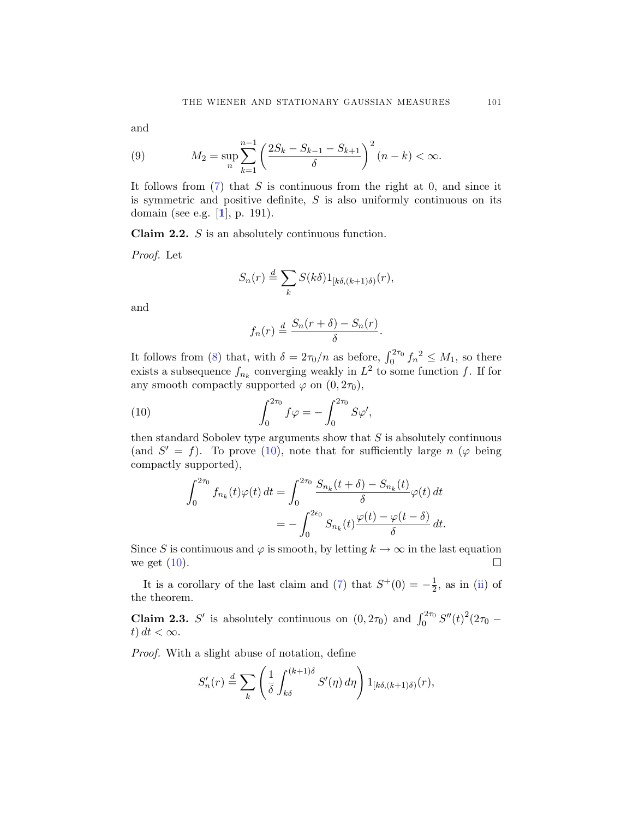<span id="page-6-0"></span>and

(9) 
$$
M_2 = \sup_n \sum_{k=1}^{n-1} \left( \frac{2S_k - S_{k-1} - S_{k+1}}{\delta} \right)^2 (n-k) < \infty.
$$

It follows from  $(7)$  that S is continuous from the right at 0, and since it is symmetric and positive definite,  $S$  is also uniformly continuous on its domain (see e.g. [**[1](#page-13-0)**], p. 191).

**Claim 2.2.** S is an absolutely continuous function.

Proof. Let

$$
S_n(r) \stackrel{d}{=} \sum_k S(k\delta) 1_{[k\delta,(k+1)\delta)}(r),
$$

and

$$
f_n(r) \stackrel{d}{=} \frac{S_n(r+\delta) - S_n(r)}{\delta}.
$$

It follows from [\(8\)](#page-5-0) that, with  $\delta = 2\tau_0/n$  as before,  $\int_0^{2\tau_0} f_n^2 \leq M_1$ , so there exists a subsequence  $f_{n_k}$  converging weakly in  $L^2$  to some function f. If for any smooth compactly supported  $\varphi$  on  $(0, 2\tau_0)$ ,

(10) 
$$
\int_0^{2\tau_0} f \varphi = -\int_0^{2\tau_0} S \varphi',
$$

then standard Sobolev type arguments show that  $S$  is absolutely continuous (and  $S' = f$ ). To prove (10), note that for sufficiently large n ( $\varphi$  being compactly supported),

$$
\int_0^{2\tau_0} f_{n_k}(t)\varphi(t) dt = \int_0^{2\tau_0} \frac{S_{n_k}(t+\delta) - S_{n_k}(t)}{\delta} \varphi(t) dt
$$
  
= 
$$
- \int_0^{2\epsilon_0} S_{n_k}(t) \frac{\varphi(t) - \varphi(t-\delta)}{\delta} dt.
$$

Since S is continuous and  $\varphi$  is smooth, by letting  $k \to \infty$  in the last equation we get  $(10)$ .

It is a corollary of the last claim and [\(7\)](#page-5-0) that  $S^+(0) = -\frac{1}{2}$ , as in [\(ii](#page-1-0)) of the theorem.

**Claim 2.3.** S' is absolutely continuous on  $(0, 2\tau_0)$  and  $\int_0^{2\tau_0} S''(t)^2 (2\tau_0$ t)  $dt < \infty$ .

Proof. With a slight abuse of notation, define

$$
S'_n(r) \stackrel{d}{=} \sum_k \left( \frac{1}{\delta} \int_{k\delta}^{(k+1)\delta} S'(\eta) d\eta \right) 1_{[k\delta,(k+1)\delta)}(r),
$$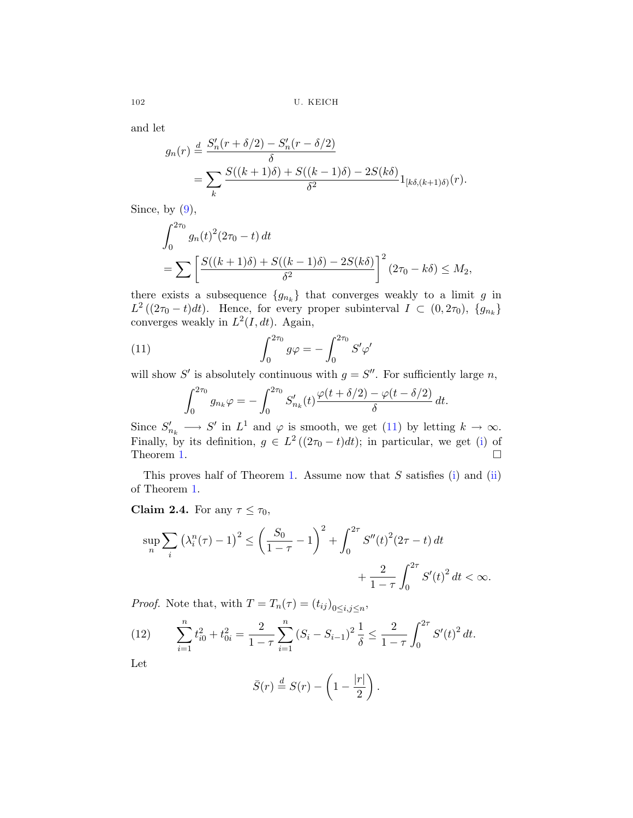and let

$$
g_n(r) \stackrel{d}{=} \frac{S'_n(r+\delta/2) - S'_n(r-\delta/2)}{\delta}
$$
  
= 
$$
\sum_k \frac{S((k+1)\delta) + S((k-1)\delta) - 2S(k\delta)}{\delta^2} 1_{[k\delta, (k+1)\delta)}(r).
$$

Since, by  $(9)$  $(9)$  $(9)$ ,

$$
\int_0^{2\tau_0} g_n(t)^2 (2\tau_0 - t) dt
$$
  
= 
$$
\sum \left[ \frac{S((k+1)\delta) + S((k-1)\delta) - 2S(k\delta)}{\delta^2} \right]^2 (2\tau_0 - k\delta) \le M_2,
$$

there exists a subsequence  ${g_{n_k}}$  that converges weakly to a limit g in  $L^2((2\tau_0-t)dt)$ . Hence, for every proper subinterval  $I \subset (0, 2\tau_0)$ ,  $\{g_{n_k}\}\$ converges weakly in  $L^2(I, dt)$ . Again,

(11) 
$$
\int_0^{2\tau_0} g\varphi = -\int_0^{2\tau_0} S'\varphi'
$$

will show S' is absolutely continuous with  $g = S''$ . For sufficiently large n,

$$
\int_0^{2\tau_0} g_{n_k} \varphi = -\int_0^{2\tau_0} S'_{n_k}(t) \frac{\varphi(t + \delta/2) - \varphi(t - \delta/2)}{\delta} dt.
$$

Since  $S'_{n_k} \longrightarrow S'$  in  $L^1$  and  $\varphi$  is smooth, we get (11) by letting  $k \to \infty$ . Finally, by its definition,  $g \in L^2((2\tau_0 - t)dt)$ ; in particular, we get ([i\)](#page-1-0) of Theorem [1](#page-1-0).  $\Box$ 

This proves half of Theorem [1.](#page-1-0) Assume now that  $S$  satisfies ([i\)](#page-1-0) and [\(ii](#page-1-0)) of Theorem [1.](#page-1-0)

**Claim 2.4.** For any  $\tau \leq \tau_0$ ,

$$
\sup_{n} \sum_{i} \left(\lambda_{i}^{n}(\tau) - 1\right)^{2} \leq \left(\frac{S_{0}}{1 - \tau} - 1\right)^{2} + \int_{0}^{2\tau} S''(t)^{2} (2\tau - t) dt + \frac{2}{1 - \tau} \int_{0}^{2\tau} S'(t)^{2} dt < \infty.
$$

*Proof.* Note that, with  $T = T_n(\tau) = (t_{ij})_{0 \le i,j \le n}$ ,

(12) 
$$
\sum_{i=1}^{n} t_{i0}^{2} + t_{0i}^{2} = \frac{2}{1-\tau} \sum_{i=1}^{n} (S_{i} - S_{i-1})^{2} \frac{1}{\delta} \le \frac{2}{1-\tau} \int_{0}^{2\tau} S'(t)^{2} dt.
$$

Let

$$
\bar{S}(r) \stackrel{d}{=} S(r) - \left(1 - \frac{|r|}{2}\right).
$$

<span id="page-7-0"></span>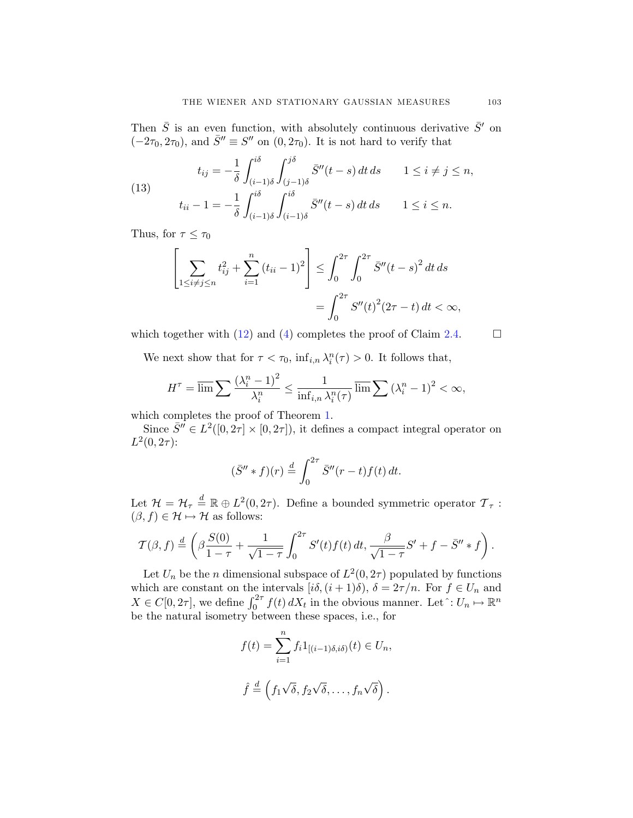<span id="page-8-0"></span>Then  $\bar{S}$  is an even function, with absolutely continuous derivative  $\bar{S}'$  on  $(-2\tau_0, 2\tau_0)$ , and  $\overline{S}'' \equiv S''$  on  $(0, 2\tau_0)$ . It is not hard to verify that

(13) 
$$
t_{ij} = -\frac{1}{\delta} \int_{(i-1)\delta}^{i\delta} \int_{(j-1)\delta}^{j\delta} \bar{S}''(t-s) dt ds \qquad 1 \le i \ne j \le n,
$$

$$
t_{ii} - 1 = -\frac{1}{\delta} \int_{(i-1)\delta}^{i\delta} \int_{(i-1)\delta}^{i\delta} \bar{S}''(t-s) dt ds \qquad 1 \le i \le n.
$$

Thus, for  $\tau \leq \tau_0$ 

$$
\left[\sum_{1 \le i \ne j \le n} t_{ij}^2 + \sum_{i=1}^n (t_{ii} - 1)^2\right] \le \int_0^{2\tau} \int_0^{2\tau} \bar{S}''(t - s)^2 dt ds
$$
  
= 
$$
\int_0^{2\tau} S''(t)^2 (2\tau - t) dt < \infty,
$$

which together with [\(12\)](#page-7-0) and [\(4\)](#page-4-0) completes the proof of Claim [2.4.](#page-7-0)  $\Box$ 

We next show that for  $\tau < \tau_0$ ,  $\inf_{i,n} \lambda_i^n(\tau) > 0$ . It follows that,

$$
H^{\tau} = \overline{\lim} \sum \frac{(\lambda_i^n - 1)^2}{\lambda_i^n} \le \frac{1}{\inf_{i,n} \lambda_i^n(\tau)} \overline{\lim} \sum (\lambda_i^n - 1)^2 < \infty,
$$

which completes the proof of Theorem [1.](#page-1-0)

Since  $\bar{S}^{\prime\prime} \in L^2([0, 2\tau] \times [0, 2\tau])$ , it defines a compact integral operator on  $L^2(0, 2\tau)$ :

$$
(\bar{S}'' * f)(r) \stackrel{d}{=} \int_0^{2\tau} \bar{S}''(r-t)f(t) dt.
$$

Let  $\mathcal{H} = \mathcal{H}_{\tau} \stackrel{d}{=} \mathbb{R} \oplus L^2(0, 2\tau)$ . Define a bounded symmetric operator  $\mathcal{T}_{\tau}$ :  $(\beta, f) \in \mathcal{H} \mapsto \mathcal{H}$  as follows:

$$
\mathcal{T}(\beta, f) \stackrel{d}{=} \left( \beta \frac{S(0)}{1 - \tau} + \frac{1}{\sqrt{1 - \tau}} \int_0^{2\tau} S'(t) f(t) dt, \frac{\beta}{\sqrt{1 - \tau}} S' + f - \bar{S}'' * f \right).
$$

Let  $U_n$  be the *n* dimensional subspace of  $L^2(0, 2\tau)$  populated by functions which are constant on the intervals  $[i\delta, (i+1)\delta), \delta = 2\tau/n$ . For  $f \in U_n$  and  $X \in C[0, 2\tau]$ , we define  $\int_0^{2\tau} f(t) dX_t$  in the obvious manner. Let  $\hat{C}: U_n \mapsto \mathbb{R}^n$ be the natural isometry between these spaces, i.e., for

$$
f(t) = \sum_{i=1}^{n} f_i 1_{[(i-1)\delta, i\delta)}(t) \in U_n,
$$
  

$$
\hat{f} \stackrel{d}{=} \left( f_1 \sqrt{\delta}, f_2 \sqrt{\delta}, \dots, f_n \sqrt{\delta} \right).
$$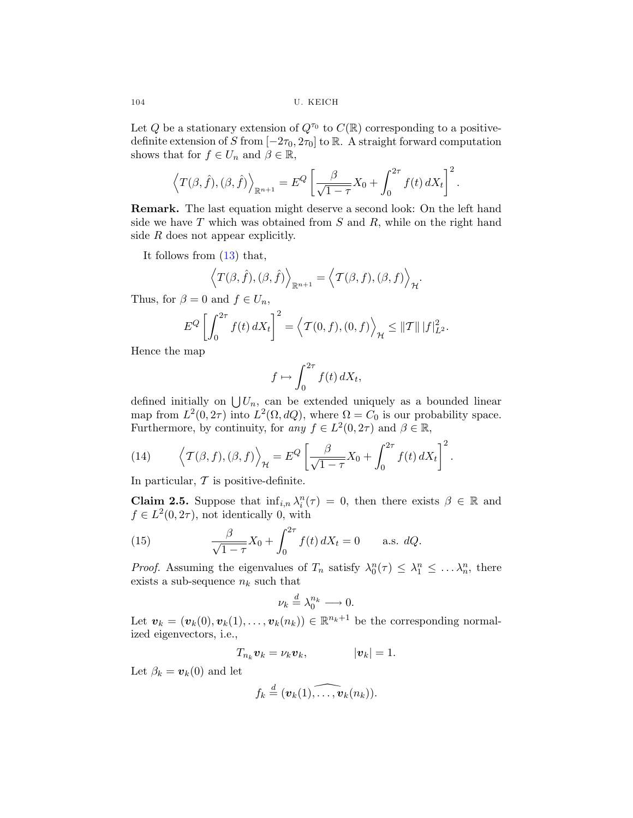<span id="page-9-0"></span>104 U. KEICH

Let Q be a stationary extension of  $Q^{\tau_0}$  to  $C(\mathbb{R})$  corresponding to a positivedefinite extension of S from  $[-2\tau_0, 2\tau_0]$  to R. A straight forward computation shows that for  $f \in U_n$  and  $\beta \in \mathbb{R}$ ,

$$
\left\langle T(\beta,\hat{f}),(\beta,\hat{f})\right\rangle_{\mathbb{R}^{n+1}} = E^Q \left[\frac{\beta}{\sqrt{1-\tau}}X_0 + \int_0^{2\tau} f(t) dX_t\right]^2.
$$

**Remark.** The last equation might deserve a second look: On the left hand side we have  $T$  which was obtained from  $S$  and  $R$ , while on the right hand side  $R$  does not appear explicitly.

It follows from [\(13](#page-8-0)) that,

$$
\left\langle T(\beta,\hat{f}),(\beta,\hat{f})\right\rangle_{\mathbb{R}^{n+1}} = \left\langle T(\beta,f),(\beta,f)\right\rangle_{\mathcal{H}}.
$$

Thus, for  $\beta = 0$  and  $f \in U_n$ ,

$$
E^{Q}\left[\int_{0}^{2\tau}f(t) dX_{t}\right]^{2} = \left\langle \mathcal{T}(0, f), (0, f) \right\rangle_{\mathcal{H}} \leq ||\mathcal{T}|| \, |f|_{L^{2}}^{2}.
$$

Hence the map

$$
f \mapsto \int_0^{2\tau} f(t) \, dX_t,
$$

defined initially on  $\bigcup U_n$ , can be extended uniquely as a bounded linear map from  $L^2(0, 2\tau)$  into  $L^2(\Omega, dQ)$ , where  $\Omega = C_0$  is our probability space. Furthermore, by continuity, for any  $f \in L^2(0, 2\tau)$  and  $\beta \in \mathbb{R}$ ,

(14) 
$$
\left\langle \mathcal{T}(\beta, f), (\beta, f) \right\rangle_{\mathcal{H}} = E^{Q} \left[ \frac{\beta}{\sqrt{1 - \tau}} X_{0} + \int_{0}^{2\tau} f(t) dX_{t} \right]^{2}.
$$

In particular,  $\mathcal T$  is positive-definite.

**Claim 2.5.** Suppose that  $\inf_{i,n} \lambda_i^n(\tau) = 0$ , then there exists  $\beta \in \mathbb{R}$  and  $f \in L^2(0, 2\tau)$ , not identically 0, with

(15) 
$$
\frac{\beta}{\sqrt{1-\tau}}X_0 + \int_0^{2\tau} f(t) dX_t = 0 \quad \text{a.s. } dQ.
$$

*Proof.* Assuming the eigenvalues of  $T_n$  satisfy  $\lambda_0^n(\tau) \leq \lambda_1^n \leq \ldots \lambda_n^n$ , there exists a sub-sequence  $n_k$  such that

$$
\nu_k \stackrel{d}{=} \lambda_0^{n_k} \longrightarrow 0.
$$

Let  $\mathbf{v}_k = (\mathbf{v}_k(0), \mathbf{v}_k(1), \dots, \mathbf{v}_k(n_k)) \in \mathbb{R}^{n_k+1}$  be the corresponding normalized eigenvectors, i.e.,

$$
T_{n_k}\mathbf{v}_k=\nu_k\mathbf{v}_k,\qquad |\mathbf{v}_k|=1.
$$

Let  $\beta_k = v_k(0)$  and let

$$
f_k \stackrel{d}{=} (\mathbf{v}_k(1), \ldots, \mathbf{v}_k(n_k)).
$$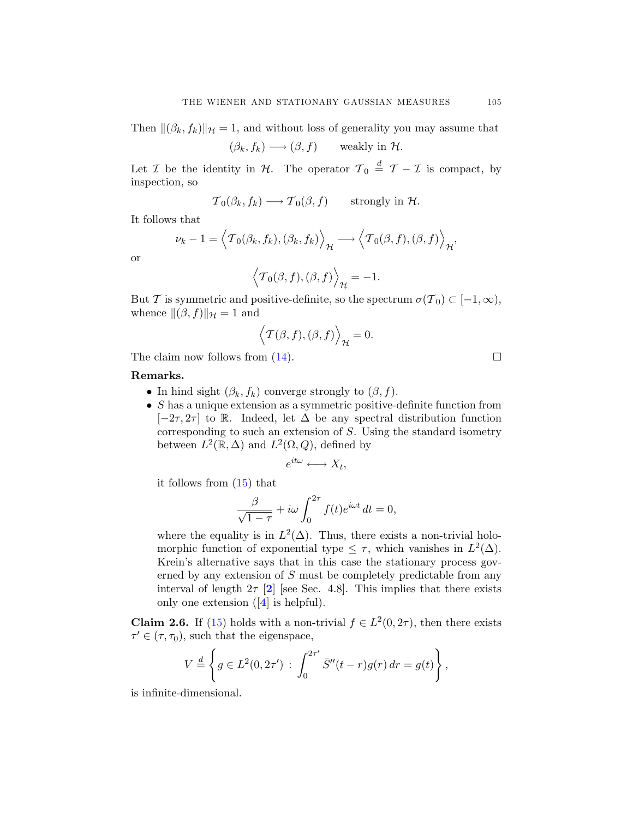<span id="page-10-0"></span>Then  $\|(\beta_k, f_k)\|_{\mathcal{H}} = 1$ , and without loss of generality you may assume that

$$
(\beta_k, f_k) \longrightarrow (\beta, f) \quad \text{weakly in } \mathcal{H}.
$$

Let  $\mathcal I$  be the identity in  $\mathcal H$ . The operator  $\mathcal T_0 \stackrel{d}{=} \mathcal T - \mathcal I$  is compact, by inspection, so

$$
\mathcal{T}_0(\beta_k, f_k) \longrightarrow \mathcal{T}_0(\beta, f) \quad \text{strongly in } \mathcal{H}.
$$

It follows that

$$
\nu_k - 1 = \left\langle \mathcal{T}_0(\beta_k, f_k), (\beta_k, f_k) \right\rangle_{\mathcal{H}} \longrightarrow \left\langle \mathcal{T}_0(\beta, f), (\beta, f) \right\rangle_{\mathcal{H}},
$$

or

$$
\left\langle \mathcal{T}_0(\beta,f),(\beta,f) \right\rangle_{\mathcal{H}} = -1.
$$

But T is symmetric and positive-definite, so the spectrum  $\sigma(\mathcal{T}_0) \subset [-1,\infty)$ , whence  $\|(\beta, f)\|_{\mathcal{H}} = 1$  and

$$
\left\langle \mathcal{T}(\beta,f),(\beta,f)\right\rangle_{\mathcal{H}}=0.
$$

The claim now follows from  $(14)$  $(14)$ .

### **Remarks.**

- In hind sight  $(\beta_k, f_k)$  converge strongly to  $(\beta, f)$ .
- $\bullet$  S has a unique extension as a symmetric positive-definite function from  $[-2\tau, 2\tau]$  to R. Indeed, let  $\Delta$  be any spectral distribution function corresponding to such an extension of S. Using the standard isometry between  $L^2(\mathbb{R}, \Delta)$  and  $L^2(\Omega, Q)$ , defined by

$$
e^{it\omega} \longleftrightarrow X_t,
$$

it follows from ([15\)](#page-9-0) that

$$
\frac{\beta}{\sqrt{1-\tau}} + i\omega \int_0^{2\tau} f(t)e^{i\omega t} dt = 0,
$$

where the equality is in  $L^2(\Delta)$ . Thus, there exists a non-trivial holomorphic function of exponential type  $\leq \tau$ , which vanishes in  $L^2(\Delta)$ . Krein's alternative says that in this case the stationary process governed by any extension of S must be completely predictable from any interval of length  $2\tau$  $2\tau$  [2] [see Sec. 4.8]. This implies that there exists only one extension ([**[4](#page-13-0)**] is helpful).

**Claim 2.6.** If [\(15](#page-9-0)) holds with a non-trivial  $f \in L^2(0, 2\tau)$ , then there exists  $\tau' \in (\tau, \tau_0)$ , such that the eigenspace,

$$
V \stackrel{d}{=} \left\{ g \in L^2(0, 2\tau') : \int_0^{2\tau'} \bar{S}''(t-r)g(r) dr = g(t) \right\},\,
$$

is infinite-dimensional.

$$
\qquad \qquad \Box
$$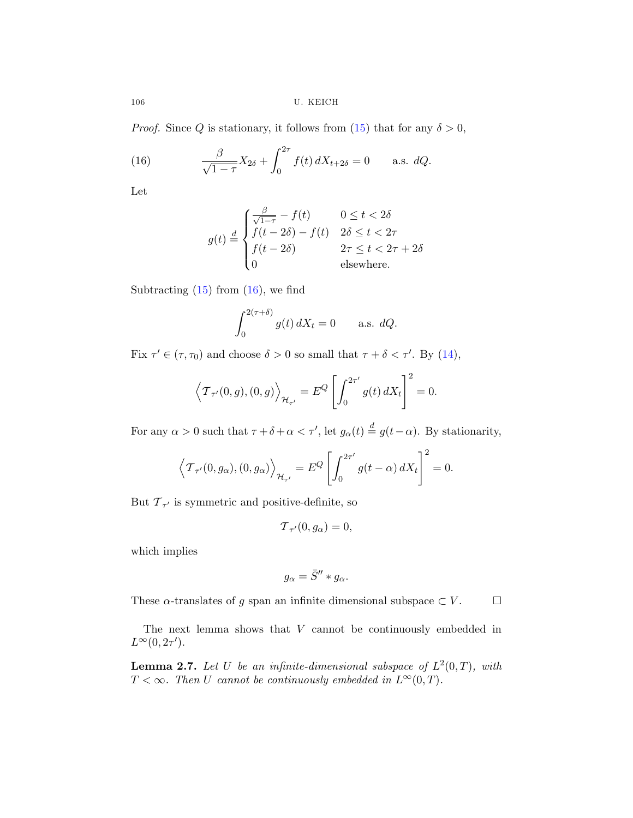106 U. KEICH

*Proof.* Since Q is stationary, it follows from ([15\)](#page-9-0) that for any  $\delta > 0$ ,

(16) 
$$
\frac{\beta}{\sqrt{1-\tau}}X_{2\delta} + \int_0^{2\tau} f(t) dX_{t+2\delta} = 0 \quad \text{a.s. } dQ.
$$

Let

$$
g(t) \stackrel{d}{=} \begin{cases} \frac{\beta}{\sqrt{1-\tau}} - f(t) & 0 \le t < 2\delta\\ f(t-2\delta) - f(t) & 2\delta \le t < 2\tau\\ f(t-2\delta) & 2\tau \le t < 2\tau + 2\delta\\ 0 & \text{elsewhere.} \end{cases}
$$

Subtracting  $(15)$  $(15)$  from  $(16)$ , we find

$$
\int_0^{2(\tau+\delta)} g(t) dX_t = 0 \quad \text{a.s. } dQ.
$$

Fix  $\tau' \in (\tau, \tau_0)$  and choose  $\delta > 0$  so small that  $\tau + \delta < \tau'$ . By ([14\)](#page-9-0),

$$
\left\langle \mathcal{T}_{\tau'}(0,g), (0,g) \right\rangle_{\mathcal{H}_{\tau'}} = E^Q \left[ \int_0^{2\tau'} g(t) dX_t \right]^2 = 0.
$$

For any  $\alpha > 0$  such that  $\tau + \delta + \alpha < \tau'$ , let  $g_{\alpha}(t) \stackrel{d}{=} g(t-\alpha)$ . By stationarity,

$$
\langle \mathcal{T}_{\tau'}(0, g_{\alpha}), (0, g_{\alpha}) \rangle_{\mathcal{H}_{\tau'}} = E^{Q} \left[ \int_0^{2\tau'} g(t - \alpha) dX_t \right]^2 = 0.
$$

But  $\mathcal{T}_{\tau'}$  is symmetric and positive-definite, so

$$
\mathcal{T}_{\tau'}(0,g_{\alpha})=0,
$$

which implies

$$
g_{\alpha} = \bar{S}^{\prime\prime} * g_{\alpha}.
$$

These  $\alpha$ -translates of g span an infinite dimensional subspace  $\subset V$ .  $\Box$ 

The next lemma shows that  $V$  cannot be continuously embedded in  $L^{\infty}(0, 2\tau^{\prime}).$ 

**Lemma 2.7.** Let U be an infinite-dimensional subspace of  $L^2(0,T)$ , with  $T < \infty$ . Then U cannot be continuously embedded in  $L^{\infty}(0,T)$ .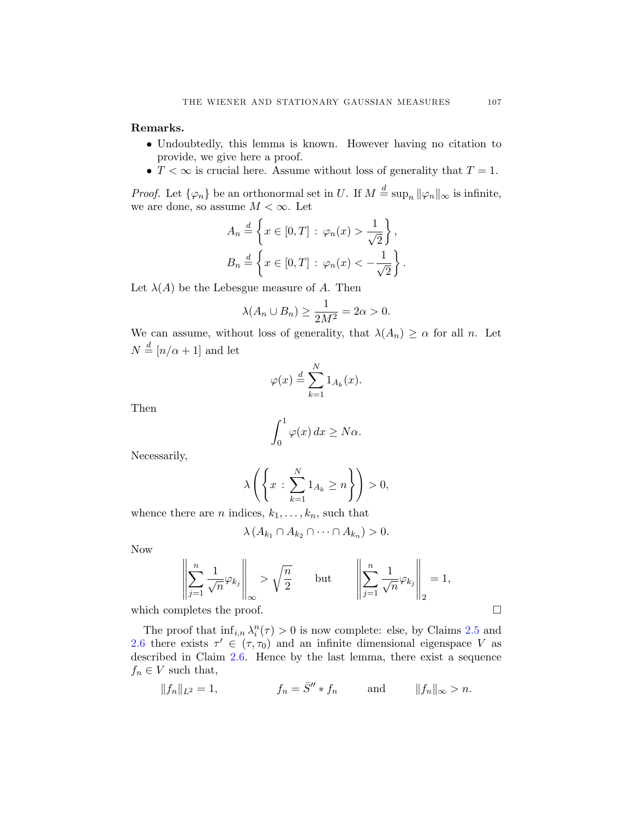**Remarks.**

- Undoubtedly, this lemma is known. However having no citation to provide, we give here a proof.
- $T < \infty$  is crucial here. Assume without loss of generality that  $T = 1$ .

*Proof.* Let  $\{\varphi_n\}$  be an orthonormal set in U. If  $M \stackrel{d}{=} \sup_n ||\varphi_n||_{\infty}$  is infinite, we are done, so assume  $M < \infty$ . Let

$$
A_n \stackrel{d}{=} \left\{ x \in [0, T] : \varphi_n(x) > \frac{1}{\sqrt{2}} \right\},
$$
  

$$
B_n \stackrel{d}{=} \left\{ x \in [0, T] : \varphi_n(x) < -\frac{1}{\sqrt{2}} \right\}.
$$

Let  $\lambda(A)$  be the Lebesgue measure of A. Then

$$
\lambda(A_n \cup B_n) \ge \frac{1}{2M^2} = 2\alpha > 0.
$$

We can assume, without loss of generality, that  $\lambda(A_n) \geq \alpha$  for all n. Let  $N \stackrel{d}{=} \left\lceil n/\alpha + 1 \right\rceil$  and let

$$
\varphi(x) \stackrel{d}{=} \sum_{k=1}^{N} 1_{A_k}(x).
$$

Then

$$
\int_0^1 \varphi(x) \, dx \ge N\alpha.
$$

Necessarily,

$$
\lambda\left(\left\{x:\sum_{k=1}^N 1_{A_k}\geq n\right\}\right)>0,
$$

whence there are *n* indices,  $k_1, \ldots, k_n$ , such that

$$
\lambda(A_{k_1}\cap A_{k_2}\cap\cdots\cap A_{k_n})>0.
$$

Now

$$
\left\| \sum_{j=1}^n \frac{1}{\sqrt{n}} \varphi_{k_j} \right\|_{\infty} > \sqrt{\frac{n}{2}} \quad \text{but} \quad \left\| \sum_{j=1}^n \frac{1}{\sqrt{n}} \varphi_{k_j} \right\|_2 = 1,
$$

which completes the proof.  $\Box$ 

The proof that  $\inf_{i,n} \lambda_i^n(\tau) > 0$  is now complete: else, by Claims [2.5](#page-9-0) and [2.6](#page-10-0) there exists  $\tau' \in (\tau, \tau_0)$  and an infinite dimensional eigenspace V as described in Claim [2.6.](#page-10-0) Hence by the last lemma, there exist a sequence  $f_n \in V$  such that,

$$
||f_n||_{L^2} = 1,
$$
  $f_n = \bar{S}'' * f_n$  and  $||f_n||_{\infty} > n.$